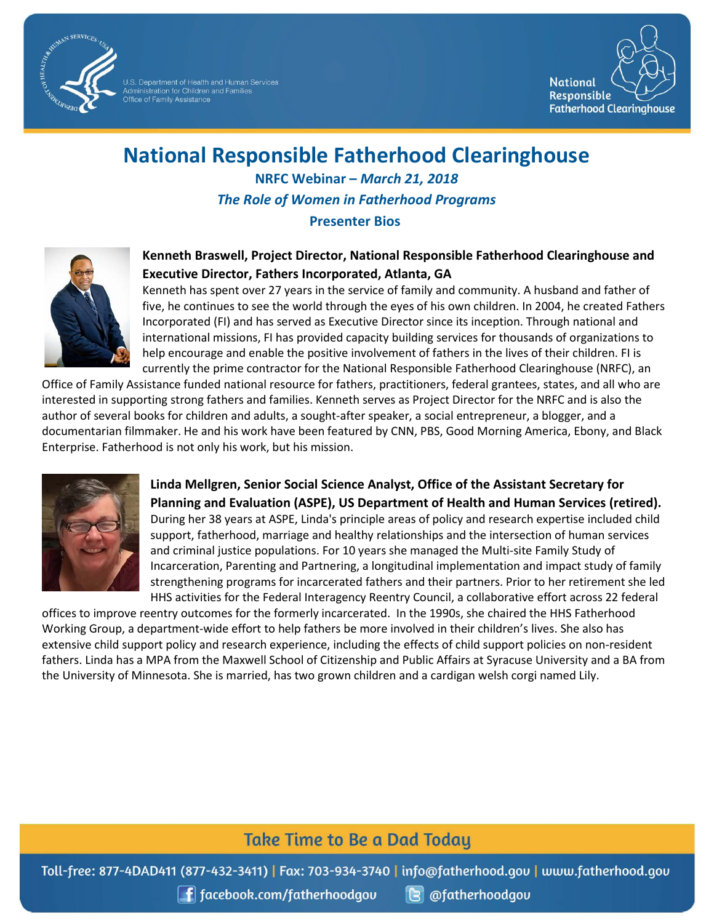

U.S. Department of Health and Human Services<br>Administration for Children and Families<br>Office of Family Assistance



## **National Responsible Fatherhood Clearinghouse**

**NRFC Webinar –** *March 21, 2018 The Role of Women in Fatherhood Programs*

**Presenter Bios**



**Executive Director, Fathers Incorporated, Atlanta, GA** Kenneth has spent over 27 years in the service of family and community. A husband and father of five, he continues to see the world through the eyes of his own children. In 2004, he created Fathers Incorporated (FI) and has served as Executive Director since its inception. Through national and

**Kenneth Braswell, Project Director, National Responsible Fatherhood Clearinghouse and** 

international missions, FI has provided capacity building services for thousands of organizations to help encourage and enable the positive involvement of fathers in the lives of their children. FI is currently the prime contractor for the National Responsible Fatherhood Clearinghouse (NRFC), an

Office of Family Assistance funded national resource for fathers, practitioners, federal grantees, states, and all who are interested in supporting strong fathers and families. Kenneth serves as Project Director for the NRFC and is also the author of several books for children and adults, a sought-after speaker, a social entrepreneur, a blogger, and a documentarian filmmaker. He and his work have been featured by CNN, PBS, Good Morning America, Ebony, and Black Enterprise. Fatherhood is not only his work, but his mission.



**Linda Mellgren, Senior Social Science Analyst, Office of the Assistant Secretary for Planning and Evaluation (ASPE), US Department of Health and Human Services (retired).**  During her 38 years at ASPE, Linda's principle areas of policy and research expertise included child support, fatherhood, marriage and healthy relationships and the intersection of human services and criminal justice populations. For 10 years she managed the Multi-site Family Study of Incarceration, Parenting and Partnering, a longitudinal implementation and impact study of family strengthening programs for incarcerated fathers and their partners. Prior to her retirement she led HHS activities for the Federal Interagency Reentry Council, a collaborative effort across 22 federal

offices to improve reentry outcomes for the formerly incarcerated. In the 1990s, she chaired the HHS Fatherhood Working Group, a department-wide effort to help fathers be more involved in their children's lives. She also has extensive child support policy and research experience, including the effects of child support policies on non-resident fathers. Linda has a MPA from the Maxwell School of Citizenship and Public Affairs at Syracuse University and a BA from the University of Minnesota. She is married, has two grown children and a cardigan welsh corgi named Lily.

## **Take Time to Be a Dad Today**

Toll-free: 877-4DAD411 (877-432-3411) | Fax: 703-934-3740 | info@fatherhood.gov | www.fatherhood.gov

**f** facebook.com/fatherhoodgou

**B** @fatherhoodgou